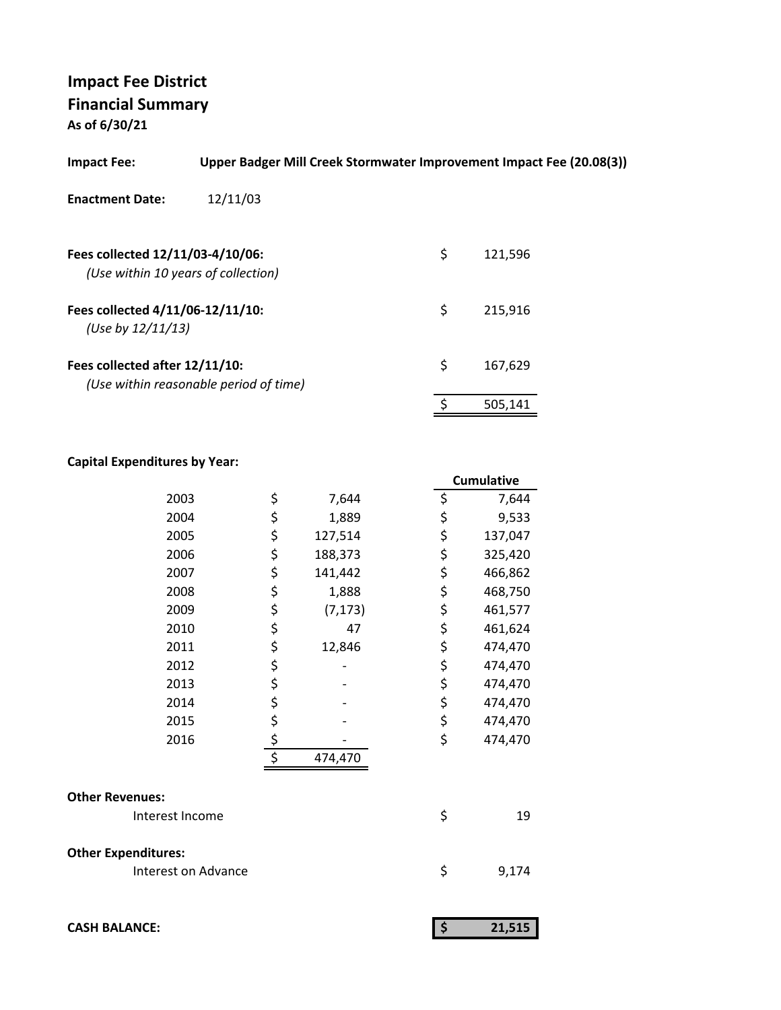**As of 6/30/21**

| <b>Impact Fee:</b>                                                      | Upper Badger Mill Creek Stormwater Improvement Impact Fee (20.08(3)) |    |         |
|-------------------------------------------------------------------------|----------------------------------------------------------------------|----|---------|
| <b>Enactment Date:</b>                                                  | 12/11/03                                                             |    |         |
| Fees collected 12/11/03-4/10/06:<br>(Use within 10 years of collection) |                                                                      | \$ | 121,596 |
| Fees collected 4/11/06-12/11/10:<br>(Use by 12/11/13)                   |                                                                      | \$ | 215,916 |
| Fees collected after 12/11/10:                                          | (Use within reasonable period of time)                               | \$ | 167,629 |
|                                                                         |                                                                      | ¢  | 505.141 |
|                                                                         |                                                                      |    |         |

## **Capital Expenditures by Year:**

|                            |               |          |    | <b>Cumulative</b> |
|----------------------------|---------------|----------|----|-------------------|
| 2003                       | \$            | 7,644    | \$ | 7,644             |
| 2004                       | \$            | 1,889    | \$ | 9,533             |
| 2005                       | \$            | 127,514  | \$ | 137,047           |
| 2006                       | \$            | 188,373  | \$ | 325,420           |
| 2007                       | \$            | 141,442  | \$ | 466,862           |
| 2008                       | \$            | 1,888    | \$ | 468,750           |
| 2009                       | \$            | (7, 173) | \$ | 461,577           |
| 2010                       | \$            | 47       | \$ | 461,624           |
| 2011                       | \$            | 12,846   | \$ | 474,470           |
| 2012                       | \$            |          | \$ | 474,470           |
| 2013                       | \$            |          | \$ | 474,470           |
| 2014                       |               |          | \$ | 474,470           |
| 2015                       |               |          | \$ | 474,470           |
| 2016                       | $\frac{5}{5}$ |          | \$ | 474,470           |
|                            |               | 474,470  |    |                   |
| <b>Other Revenues:</b>     |               |          |    |                   |
| Interest Income            |               |          | \$ | 19                |
| <b>Other Expenditures:</b> |               |          |    |                   |
| Interest on Advance        |               |          | \$ | 9,174             |
|                            |               |          |    |                   |
| <b>CASH BALANCE:</b>       |               |          | \$ | 21,515            |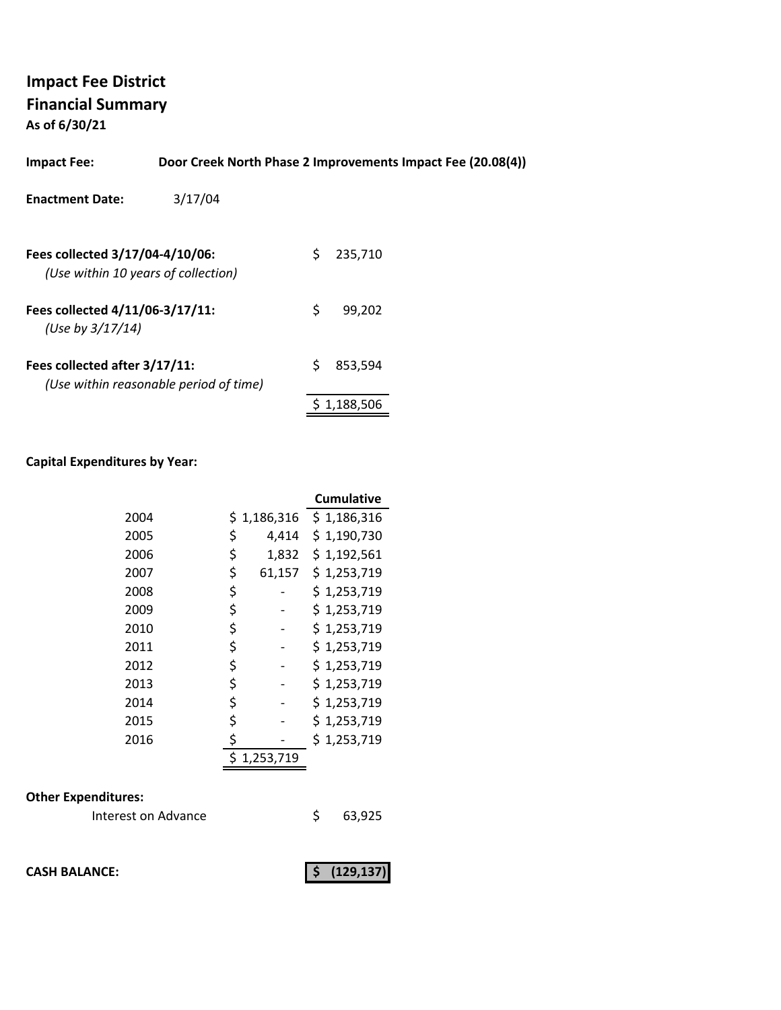**As of 6/30/21**

| <b>Impact Fee:</b>                                                     |                                        |    | Door Creek North Phase 2 Improvements Impact Fee (20.08(4)) |  |
|------------------------------------------------------------------------|----------------------------------------|----|-------------------------------------------------------------|--|
| <b>Enactment Date:</b>                                                 | 3/17/04                                |    |                                                             |  |
| Fees collected 3/17/04-4/10/06:<br>(Use within 10 years of collection) |                                        | S  | 235,710                                                     |  |
| Fees collected 4/11/06-3/17/11:<br>(Use by $3/17/14$ )                 |                                        | \$ | 99.202                                                      |  |
| Fees collected after 3/17/11:                                          | (Use within reasonable period of time) | S  | 853.594                                                     |  |

#### **Capital Expenditures by Year:**

|      |              | <b>Cumulative</b> |
|------|--------------|-------------------|
| 2004 | \$1,186,316  | \$1,186,316       |
| 2005 | \$<br>4,414  | \$1,190,730       |
| 2006 | \$<br>1,832  | \$1,192,561       |
| 2007 | \$<br>61,157 | \$1,253,719       |
| 2008 | \$           | \$1,253,719       |
| 2009 | \$           | \$1,253,719       |
| 2010 | \$           | \$1,253,719       |
| 2011 | \$           | \$1,253,719       |
| 2012 | \$           | \$1,253,719       |
| 2013 | \$           | \$1,253,719       |
| 2014 | \$           | \$1,253,719       |
| 2015 | \$           | \$1,253,719       |
| 2016 | \$           | \$1,253,719       |
|      | 1,253,719    |                   |

## **Other Expenditures:**

| Interest on Advance |  | 63,925 |
|---------------------|--|--------|
|---------------------|--|--------|

**CASH BALANCE:** (129,137)

\$ 1,188,506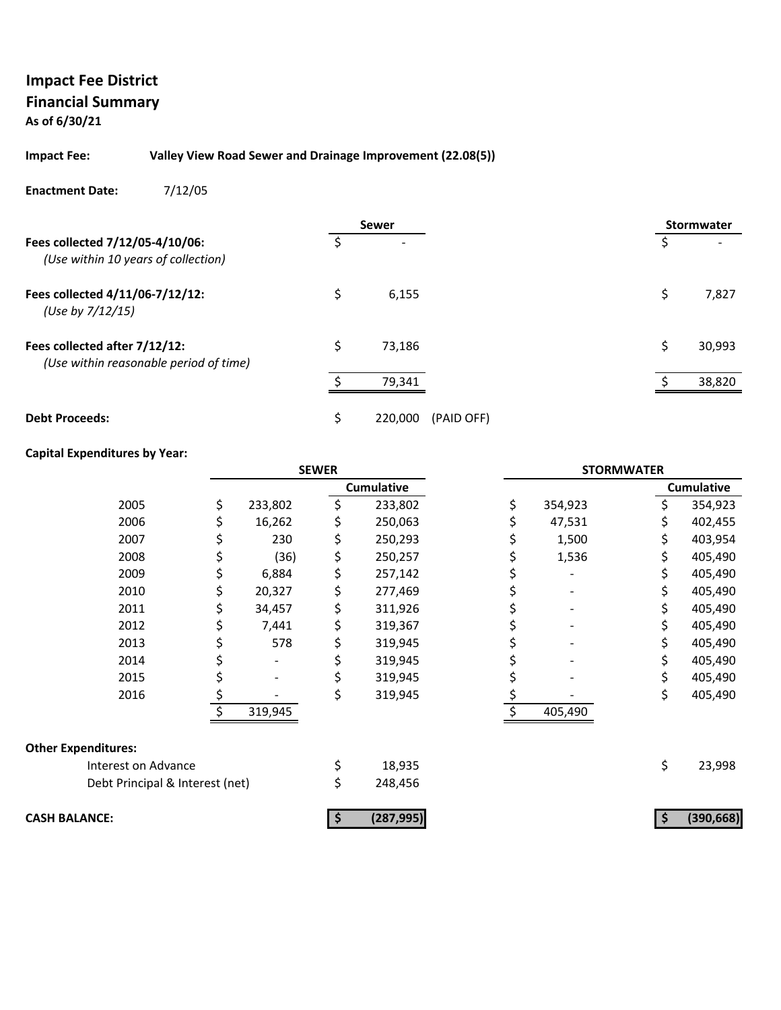**As of 6/30/21**

#### **Impact Fee: Valley View Road Sewer and Drainage Improvement (22.08(5))**

**Enactment Date:** 7/12/05

|                                                                         |    | <b>Sewer</b> |            |    | <b>Stormwater</b> |
|-------------------------------------------------------------------------|----|--------------|------------|----|-------------------|
| Fees collected 7/12/05-4/10/06:<br>(Use within 10 years of collection)  | Ś  |              |            | Ŝ  |                   |
| Fees collected 4/11/06-7/12/12:<br>(Use by 7/12/15)                     | \$ | 6,155        |            | \$ | 7,827             |
| Fees collected after 7/12/12:<br>(Use within reasonable period of time) | \$ | 73.186       |            | \$ | 30,993            |
|                                                                         |    | 79,341       |            |    | 38,820            |
| <b>Debt Proceeds:</b>                                                   | Ś  | 220,000      | (PAID OFF) |    |                   |

#### **Capital Expenditures by Year:**

|                                 |               | <b>SEWER</b> |                   |     |         | <b>STORMWATER</b> |                   |
|---------------------------------|---------------|--------------|-------------------|-----|---------|-------------------|-------------------|
|                                 |               |              | <b>Cumulative</b> |     |         |                   | <b>Cumulative</b> |
| 2005                            | \$<br>233,802 | \$           | 233,802           | \$. | 354,923 | \$                | 354,923           |
| 2006                            | 16,262        |              | 250,063           |     | 47,531  |                   | 402,455           |
| 2007                            | 230           | \$           | 250,293           |     | 1,500   | \$                | 403,954           |
| 2008                            | (36)          | \$           | 250,257           |     | 1,536   | \$                | 405,490           |
| 2009                            | 6,884         | \$           | 257,142           |     |         | \$                | 405,490           |
| 2010                            | 20,327        | \$           | 277,469           |     |         |                   | 405,490           |
| 2011                            | 34,457        | \$           | 311,926           |     |         | \$                | 405,490           |
| 2012                            | 7,441         | \$           | 319,367           |     |         |                   | 405,490           |
| 2013                            | 578           | \$           | 319,945           |     |         | \$                | 405,490           |
| 2014                            |               |              | 319,945           |     |         |                   | 405,490           |
| 2015                            |               | \$           | 319,945           |     |         | \$                | 405,490           |
| 2016                            |               | \$           | 319,945           | \$  |         | \$                | 405,490           |
|                                 | 319,945       |              |                   | Ś.  | 405,490 |                   |                   |
| <b>Other Expenditures:</b>      |               |              |                   |     |         |                   |                   |
| Interest on Advance             |               | \$           | 18,935            |     |         | \$                | 23,998            |
| Debt Principal & Interest (net) |               | \$           | 248,456           |     |         |                   |                   |
| <b>CASH BALANCE:</b>            |               |              | (287, 995)        |     |         |                   | (390, 668)        |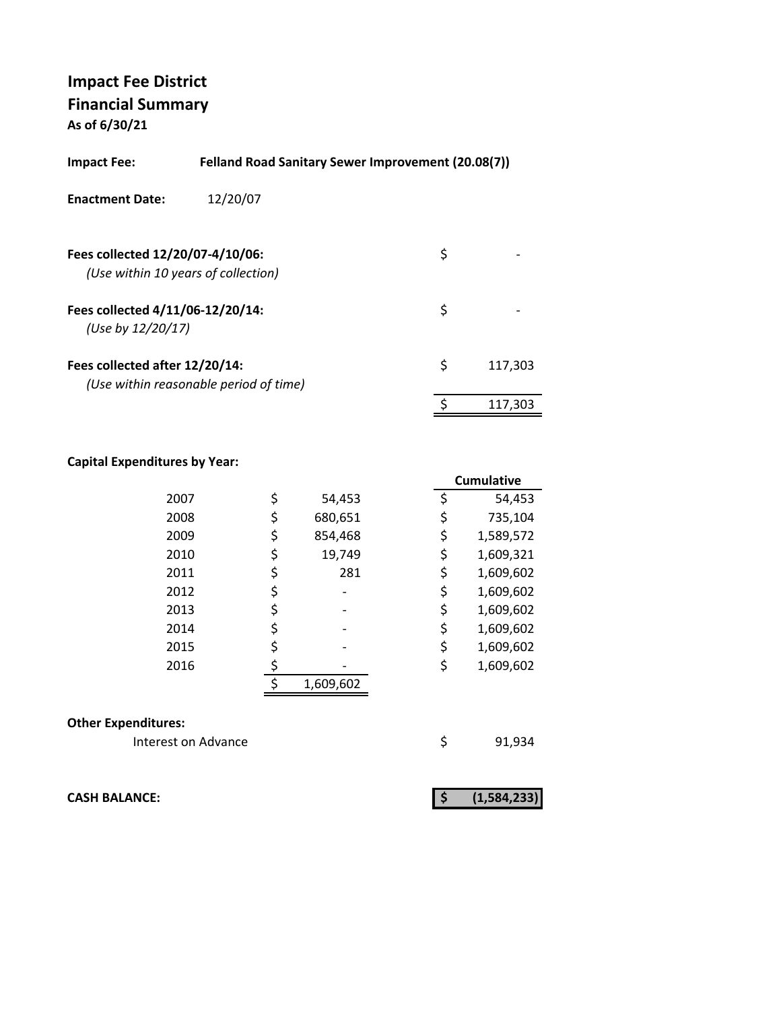**As of 6/30/21**

| <b>Impact Fee:</b>                                    | <b>Felland Road Sanitary Sewer Improvement (20.08(7))</b> |               |
|-------------------------------------------------------|-----------------------------------------------------------|---------------|
| <b>Enactment Date:</b>                                | 12/20/07                                                  |               |
| Fees collected 12/20/07-4/10/06:                      | (Use within 10 years of collection)                       | \$            |
| Fees collected 4/11/06-12/20/14:<br>(Use by 12/20/17) |                                                           | \$            |
| Fees collected after 12/20/14:                        | (Use within reasonable period of time)                    | \$<br>117,303 |
|                                                       |                                                           | \$<br>117.303 |

## **Capital Expenditures by Year:**

|      |               |    | <b>Cumulative</b> |
|------|---------------|----|-------------------|
| 2007 | \$<br>54,453  | \$ | 54,453            |
| 2008 | \$<br>680,651 |    | 735,104           |
| 2009 | \$<br>854,468 | \$ | 1,589,572         |
| 2010 | \$<br>19,749  | \$ | 1,609,321         |
| 2011 | \$<br>281     | \$ | 1,609,602         |
| 2012 | \$            | \$ | 1,609,602         |
| 2013 | \$            | \$ | 1,609,602         |
| 2014 | \$            | \$ | 1,609,602         |
| 2015 | \$            | \$ | 1,609,602         |
| 2016 |               | \$ | 1,609,602         |
|      | 1,609,602     |    |                   |
|      |               |    |                   |

#### **Other Expenditures:**

Interest on Advance **1998** \$91,934

**CASH BALANCE: (1,584,233) \$**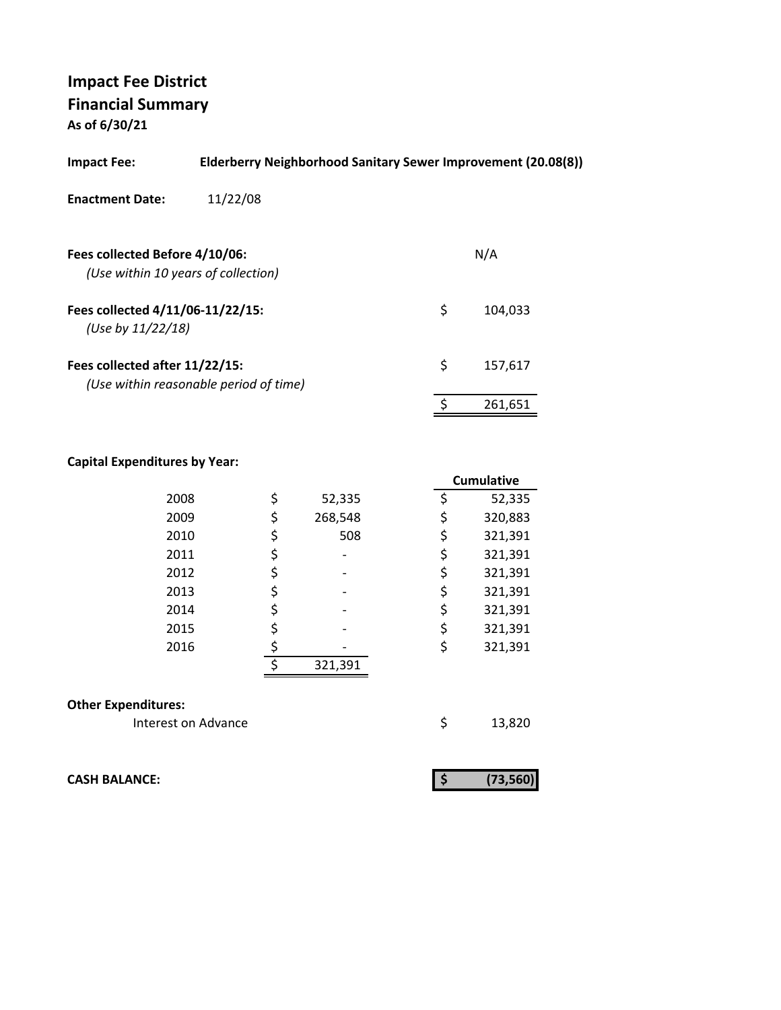**As of 6/30/21**

| <b>Impact Fee:</b>                                                    | Elderberry Neighborhood Sanitary Sewer Improvement (20.08(8)) |               |
|-----------------------------------------------------------------------|---------------------------------------------------------------|---------------|
| <b>Enactment Date:</b>                                                | 11/22/08                                                      |               |
| Fees collected Before 4/10/06:<br>(Use within 10 years of collection) |                                                               | N/A           |
| Fees collected 4/11/06-11/22/15:<br>(Use by 11/22/18)                 |                                                               | \$<br>104.033 |
| Fees collected after 11/22/15:                                        | (Use within reasonable period of time)                        | \$<br>157,617 |
|                                                                       |                                                               | 261,651       |
|                                                                       |                                                               |               |

## **Capital Expenditures by Year:**

|                            |    |         | <b>Cumulative</b> |
|----------------------------|----|---------|-------------------|
| 2008                       | \$ | 52,335  | \$<br>52,335      |
| 2009                       | \$ | 268,548 | \$<br>320,883     |
| 2010                       | \$ | 508     | \$<br>321,391     |
| 2011                       | \$ |         | \$<br>321,391     |
| 2012                       | \$ |         | \$<br>321,391     |
| 2013                       | \$ |         | \$<br>321,391     |
| 2014                       | \$ |         | \$<br>321,391     |
| 2015                       | \$ |         | \$<br>321,391     |
| 2016                       | \$ |         | \$<br>321,391     |
|                            | ¢  | 321,391 |                   |
|                            |    |         |                   |
| <b>Other Expenditures:</b> |    |         |                   |
| Interest on Advance        |    |         | \$<br>13,820      |

**CASH BALANCE: (73,560) \$** 

|--|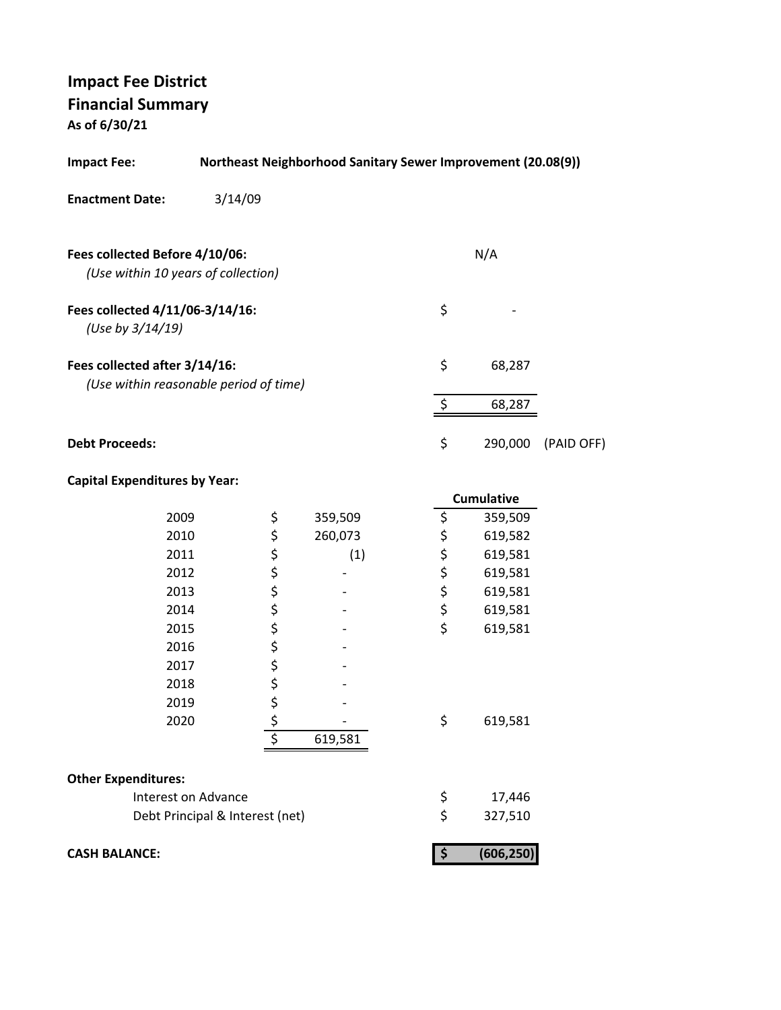**As of 6/30/21**

| <b>Impact Fee:</b>                                                      | <b>Northeast Neighborhood Sanitary Sewer Improvement (20.08(9))</b> |         |          |            |            |
|-------------------------------------------------------------------------|---------------------------------------------------------------------|---------|----------|------------|------------|
| <b>Enactment Date:</b>                                                  | 3/14/09                                                             |         |          |            |            |
| Fees collected Before 4/10/06:<br>(Use within 10 years of collection)   |                                                                     |         |          | N/A        |            |
| Fees collected 4/11/06-3/14/16:<br>(Use by 3/14/19)                     |                                                                     |         | \$       |            |            |
| Fees collected after 3/14/16:<br>(Use within reasonable period of time) |                                                                     |         | \$       | 68,287     |            |
|                                                                         |                                                                     |         | \$       | 68,287     |            |
| <b>Debt Proceeds:</b>                                                   |                                                                     |         | \$       | 290,000    | (PAID OFF) |
| <b>Capital Expenditures by Year:</b>                                    |                                                                     |         |          |            |            |
|                                                                         |                                                                     |         |          | Cumulative |            |
| 2009                                                                    | \$                                                                  | 359,509 | \$       | 359,509    |            |
| 2010                                                                    | \$                                                                  | 260,073 |          | 619,582    |            |
| 2011                                                                    | \$                                                                  | (1)     | ちゃくちょ    | 619,581    |            |
| 2012                                                                    | \$                                                                  |         |          | 619,581    |            |
| 2013                                                                    | \$<br>\$                                                            |         |          | 619,581    |            |
| 2014                                                                    |                                                                     |         |          | 619,581    |            |
| 2015                                                                    | \$                                                                  |         | \$       | 619,581    |            |
| 2016                                                                    | \$                                                                  |         |          |            |            |
| 2017                                                                    | \$<br>\$                                                            |         |          |            |            |
| 2018                                                                    |                                                                     |         |          |            |            |
| 2019                                                                    | \$                                                                  |         |          |            |            |
| 2020                                                                    |                                                                     |         | \$       | 619,581    |            |
|                                                                         |                                                                     | 619,581 |          |            |            |
| <b>Other Expenditures:</b>                                              |                                                                     |         |          |            |            |
| Interest on Advance                                                     |                                                                     |         |          | 17,446     |            |
|                                                                         | Debt Principal & Interest (net)                                     |         | \$<br>\$ | 327,510    |            |
| <b>CASH BALANCE:</b>                                                    |                                                                     |         | \$       | (606, 250) |            |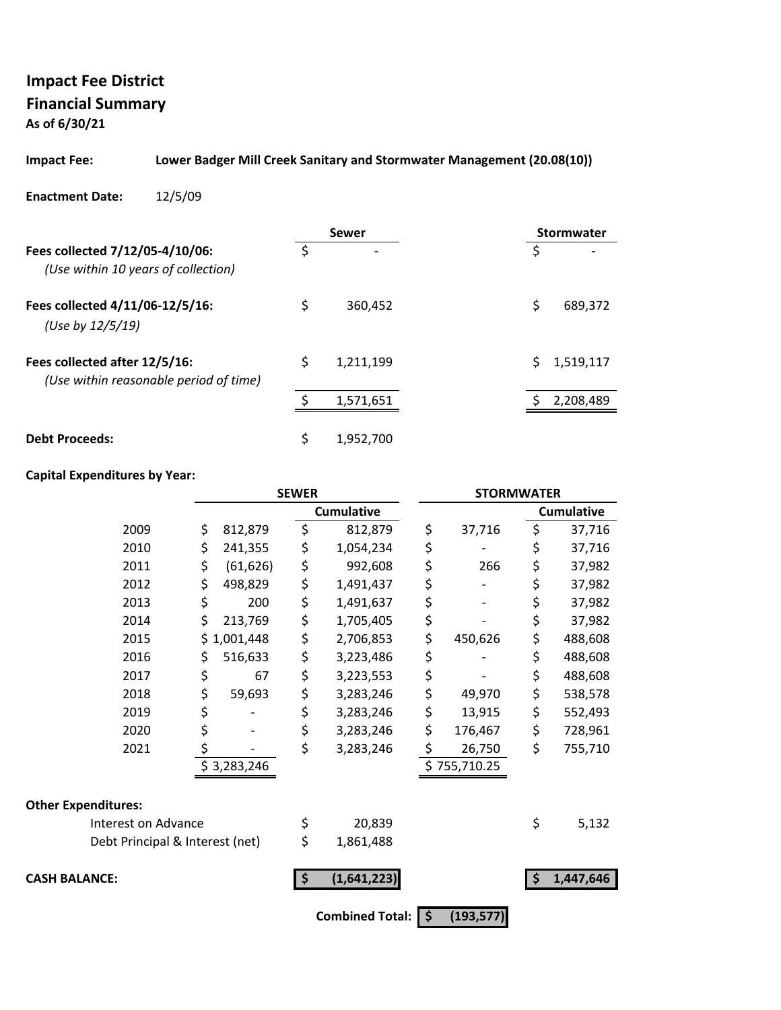**As of 6/30/21**

#### **Impact Fee: Lower Badger Mill Creek Sanitary and Stormwater Management (20.08(10))**

#### **Enactment Date:** 12/5/09

|                                                                         |    | Sewer                    | <b>Stormwater</b> |
|-------------------------------------------------------------------------|----|--------------------------|-------------------|
| Fees collected 7/12/05-4/10/06:<br>(Use within 10 years of collection)  | Š. | $\overline{\phantom{a}}$ | S                 |
| Fees collected 4/11/06-12/5/16:<br>(Use by 12/5/19)                     | \$ | 360,452                  | Ś<br>689,372      |
| Fees collected after 12/5/16:<br>(Use within reasonable period of time) | \$ | 1,211,199                | 1,519,117         |
|                                                                         |    | 1,571,651                | 2,208,489         |
| <b>Debt Proceeds:</b>                                                   | \$ | 1.952.700                |                   |

#### **Capital Expenditures by Year:**

|                                 |    |             | <b>SEWER</b> |                   | <b>STORMWATER</b> |    |                   |
|---------------------------------|----|-------------|--------------|-------------------|-------------------|----|-------------------|
|                                 |    |             |              | <b>Cumulative</b> |                   |    | <b>Cumulative</b> |
| 2009                            | \$ | 812,879     | \$           | 812,879           | \$<br>37,716      | \$ | 37,716            |
| 2010                            | \$ | 241,355     | \$           | 1,054,234         | \$                | \$ | 37,716            |
| 2011                            | \$ | (61, 626)   | \$           | 992,608           | \$<br>266         | \$ | 37,982            |
| 2012                            | \$ | 498,829     | \$           | 1,491,437         | \$                | \$ | 37,982            |
| 2013                            | \$ | 200         | \$           | 1,491,637         | \$                | \$ | 37,982            |
| 2014                            | \$ | 213,769     | \$           | 1,705,405         | \$                | \$ | 37,982            |
| 2015                            | Ś. | 1,001,448   | \$           | 2,706,853         | \$<br>450,626     | \$ | 488,608           |
| 2016                            | \$ | 516,633     | \$           | 3,223,486         | \$                | \$ | 488,608           |
| 2017                            | \$ | 67          | \$           | 3,223,553         | \$                | \$ | 488,608           |
| 2018                            | \$ | 59,693      | \$           | 3,283,246         | \$<br>49,970      | \$ | 538,578           |
| 2019                            | \$ |             | \$           | 3,283,246         | \$<br>13,915      | \$ | 552,493           |
| 2020                            | \$ |             | \$           | 3,283,246         | \$<br>176,467     | \$ | 728,961           |
| 2021                            | \$ |             | \$           | 3,283,246         | \$<br>26,750      | \$ | 755,710           |
|                                 |    | \$3,283,246 |              |                   | \$755,710.25      |    |                   |
|                                 |    |             |              |                   |                   |    |                   |
| <b>Other Expenditures:</b>      |    |             |              |                   |                   |    |                   |
| Interest on Advance             |    |             | \$           | 20,839            |                   | \$ | 5,132             |
| Debt Principal & Interest (net) |    |             | \$           | 1,861,488         |                   |    |                   |
| <b>CASH BALANCE:</b>            |    |             | \$           | (1,641,223)       |                   | Ŝ  | 1,447,646         |
|                                 |    |             |              |                   |                   |    |                   |

**Combined Total:**  $\boxed{ }$  **\$** (193,577)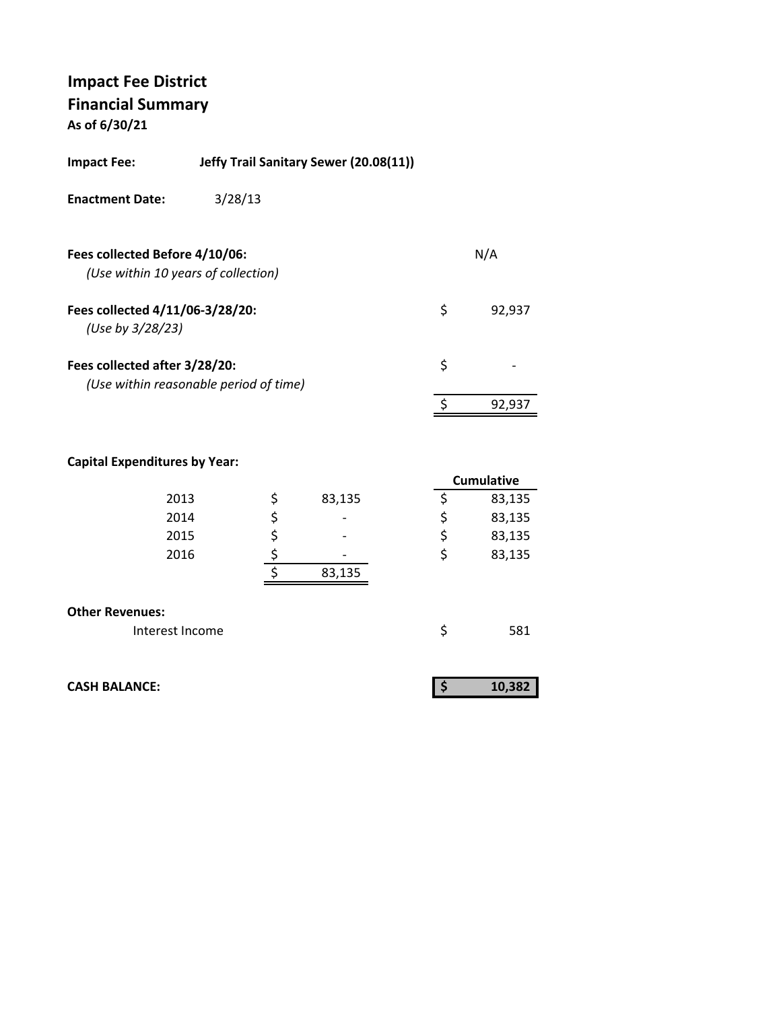**As of 6/30/21**

| <b>Impact Fee:</b>                                                    | Jeffy Trail Sanitary Sewer (20.08(11)) |              |
|-----------------------------------------------------------------------|----------------------------------------|--------------|
| <b>Enactment Date:</b>                                                | 3/28/13                                |              |
| Fees collected Before 4/10/06:<br>(Use within 10 years of collection) |                                        | N/A          |
| Fees collected 4/11/06-3/28/20:<br>(Use by 3/28/23)                   |                                        | \$<br>92,937 |
| Fees collected after 3/28/20:                                         | (Use within reasonable period of time) | \$           |
|                                                                       |                                        | 92,937       |

## **Capital Expenditures by Year:**

|                        |              | <b>Cumulative</b> |
|------------------------|--------------|-------------------|
| 2013                   | \$<br>83,135 | 83,135            |
| 2014                   | \$           | \$<br>83,135      |
| 2015                   |              | \$<br>83,135      |
| 2016                   |              | \$<br>83,135      |
|                        | 83,135       |                   |
| <b>Other Revenues:</b> |              |                   |
| Interest Income        |              | 581               |

| <b>CASH BALANCE:</b> |  |
|----------------------|--|
|                      |  |

| æ |
|---|
|   |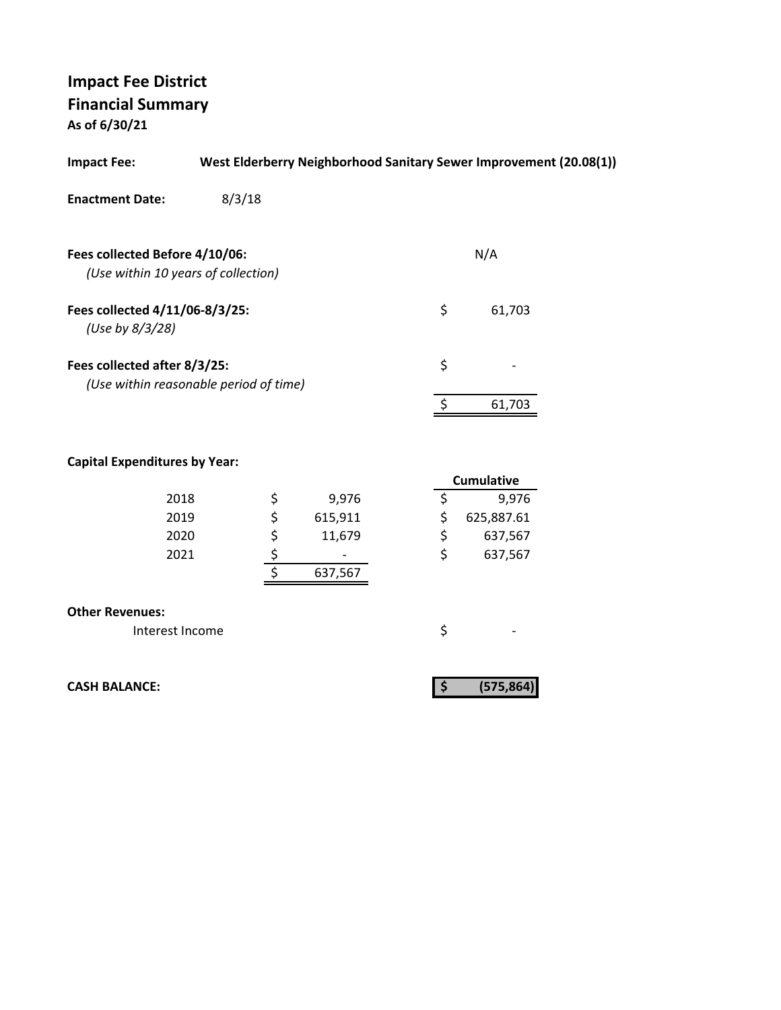**As of 6/30/21**

| <b>Impact Fee:</b>                                                     |        |          |         |    | West Elderberry Neighborhood Sanitary Sewer Improvement (20.08(1)) |  |
|------------------------------------------------------------------------|--------|----------|---------|----|--------------------------------------------------------------------|--|
| <b>Enactment Date:</b>                                                 | 8/3/18 |          |         |    |                                                                    |  |
|                                                                        |        |          |         |    |                                                                    |  |
| Fees collected Before 4/10/06:                                         |        |          |         |    | N/A                                                                |  |
| (Use within 10 years of collection)                                    |        |          |         |    |                                                                    |  |
| Fees collected 4/11/06-8/3/25:<br>(Use by 8/3/28)                      |        |          |         | \$ | 61,703                                                             |  |
| Fees collected after 8/3/25:<br>(Use within reasonable period of time) |        |          |         | \$ |                                                                    |  |
|                                                                        |        |          |         | \$ | 61,703                                                             |  |
|                                                                        |        |          |         |    |                                                                    |  |
|                                                                        |        |          |         |    |                                                                    |  |
| <b>Capital Expenditures by Year:</b>                                   |        |          |         |    | <b>Cumulative</b>                                                  |  |
| 2018                                                                   |        |          | 9,976   | \$ | 9,976                                                              |  |
| 2019                                                                   |        | \$\$\$\$ | 615,911 | \$ | 625,887.61                                                         |  |
| 2020                                                                   |        |          | 11,679  | \$ | 637,567                                                            |  |
| 2021                                                                   |        |          |         | \$ | 637,567                                                            |  |
|                                                                        |        |          | 637,567 |    |                                                                    |  |
| <b>Other Revenues:</b>                                                 |        |          |         |    |                                                                    |  |
| Interest Income                                                        |        |          |         | \$ |                                                                    |  |
|                                                                        |        |          |         |    |                                                                    |  |
|                                                                        |        |          |         |    |                                                                    |  |
| <b>CASH BALANCE:</b>                                                   |        |          |         | \$ | (575, 864)                                                         |  |